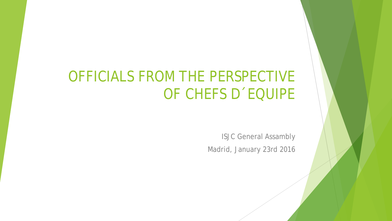### OFFICIALS FROM THE PERSPECTIVE OF CHEFS D´EQUIPE

ISJC General Assambly Madrid, January 23rd 2016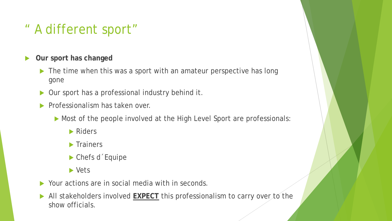### " A different sport"

- **Our sport has changed**
	- ▶ The time when this was a sport with an amateur perspective has long gone
	- ▶ Our sport has a professional industry behind it.
	- $\blacktriangleright$  Professionalism has taken over.
		- Most of the people involved at the High Level Sport are professionals:
			- Riders
			- $\blacktriangleright$  Trainers
			- ▶ Chefs d Equipe
			- ▶ Vets
	- Your actions are in social media with in seconds.
	- All stakeholders involved **EXPECT** this professionalism to carry over to the show officials.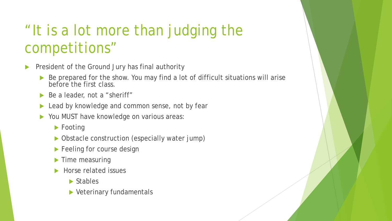# "It is a lot more than judging the competitions"

- President of the Ground Jury has final authority
	- Be prepared for the show. You may find a lot of difficult situations will arise before the first class.
	- Be a leader, not a "sheriff"
	- **Lead by knowledge and common sense, not by fear**
	- ▶ You MUST have knowledge on various areas:
		- ▶ Footing
		- ▶ Obstacle construction (especially water jump)
		- **Feeling for course design**
		- Time measuring
		- Horse related issues
			- ▶ Stables
			- ▶ Veterinary fundamentals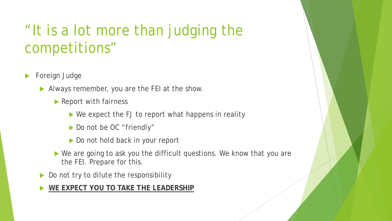## "It is a lot more than judging the competitions"

- Foreign Judge
	- Always remember, you are the FEI at the show.
		- ▶ Report with fairness
			- ▶ We expect the FJ to report what happens in reality
			- Do not be OC "friendly"
			- Do not hold back in your report
		- ▶ We are going to ask you the difficult questions. We know that you are the FEI. Prepare for this.
	- Do not try to dilute the responsibility

**WE EXPECT YOU TO TAKE THE LEADERSHIP**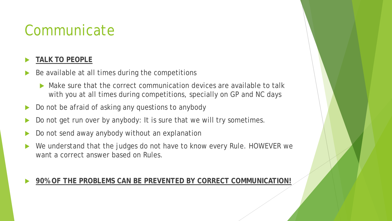## **Communicate**

### **TALK TO PEOPLE**

- Be available at all times during the competitions
	- Make sure that the correct communication devices are available to talk with you at all times during competitions, specially on GP and NC days
- Do not be afraid of asking any questions to anybody
- Do not get run over by anybody: It is sure that we will try sometimes.
- Do not send away anybody without an explanation
- We understand that the judges do not have to know every Rule. HOWEVER we want a correct answer based on Rules.

#### **90% OF THE PROBLEMS CAN BE PREVENTED BY CORRECT COMMUNICATION!**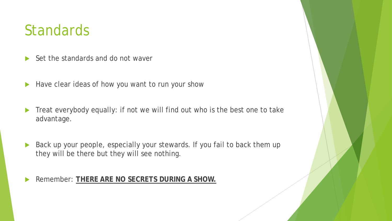### **Standards**

- $\blacktriangleright$  Set the standards and do not waver
- Have clear ideas of how you want to run your show
- Treat everybody equally: if not we will find out who is the best one to take advantage.
- Back up your people, especially your stewards. If you fail to back them up they will be there but they will see nothing.

Remember: **THERE ARE NO SECRETS DURING A SHOW.**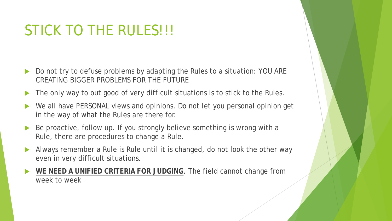# STICK TO THE RULES!!!

- Do not try to defuse problems by adapting the Rules to a situation: YOU ARE CREATING BIGGER PROBLEMS FOR THE FUTURE
- The only way to out good of very difficult situations is to stick to the Rules.
- We all have PERSONAL views and opinions. Do not let you personal opinion get in the way of what the Rules are there for.
- Be proactive, follow up. If you strongly believe something is wrong with a Rule, there are procedures to change a Rule.
- Always remember a Rule is Rule until it is changed, do not look the other way even in very difficult situations.
- **WE NEED A UNIFIED CRITERIA FOR JUDGING**. The field cannot change from week to week